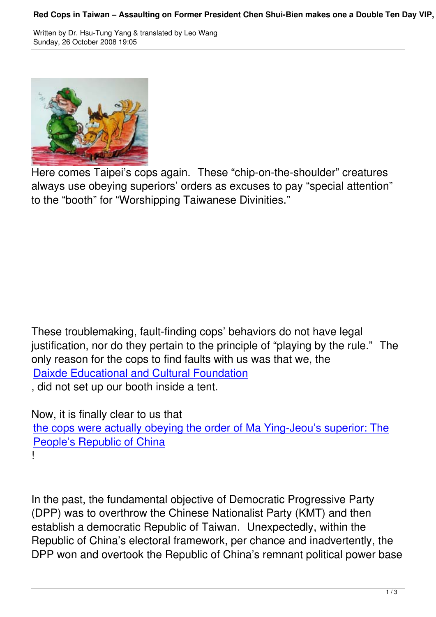

Here comes Taipei's cops again. These "chip-on-the-shoulder" creatures always use obeying superiors' orders as excuses to pay "special attention" to the "booth" for "Worshipping Taiwanese Divinities."

These troublemaking, fault-finding cops' behaviors do not have legal justification, nor do they pertain to the principle of "playing by the rule." The only reason for the cops to find faults with us was that we, the Daixde Educational and Cultural Foundation

, did not set up our booth inside a tent.

[Now, it is finally clear to us that](http://www.taiwantt.org.tw/fortaiwan/) 

the cops were actually obeying the order of Ma Ying-Jeou's superior: The People's Republic of China

[!](http://www.taiwantt.org.tw/tw/index.php?option=com_content&task=view&id=471&Itemid=1)<br>!

In the past, the fundamental objective of Democratic Progressive Party (DPP) was to overthrow the Chinese Nationalist Party (KMT) and then establish a democratic Republic of Taiwan. Unexpectedly, within the Republic of China's electoral framework, per chance and inadvertently, the DPP won and overtook the Republic of China's remnant political power base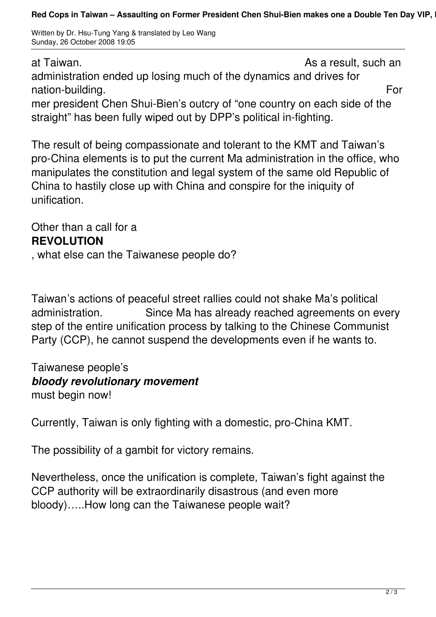Written by Dr. Hsu-Tung Yang & translated by Leo Wang Sunday, 26 October 2008 19:05

at Taiwan.  $\overline{a}$  at Taiwan. administration ended up losing much of the dynamics and drives for nation-building. The contract of the contract of the contract of the contract of the contract of the contract of the contract of the contract of the contract of the contract of the contract of the contract of the contract mer president Chen Shui-Bien's outcry of "one country on each side of the straight" has been fully wiped out by DPP's political in-fighting.

The result of being compassionate and tolerant to the KMT and Taiwan's pro-China elements is to put the current Ma administration in the office, who manipulates the constitution and legal system of the same old Republic of China to hastily close up with China and conspire for the iniquity of unification.

Other than a call for a **REVOLUTION**

, what else can the Taiwanese people do?

Taiwan's actions of peaceful street rallies could not shake Ma's political administration. Since Ma has already reached agreements on every step of the entire unification process by talking to the Chinese Communist Party (CCP), he cannot suspend the developments even if he wants to.

Taiwanese people's *bloody revolutionary movement* must begin now!

Currently, Taiwan is only fighting with a domestic, pro-China KMT.

The possibility of a gambit for victory remains.

Nevertheless, once the unification is complete, Taiwan's fight against the CCP authority will be extraordinarily disastrous (and even more bloody)…..How long can the Taiwanese people wait?